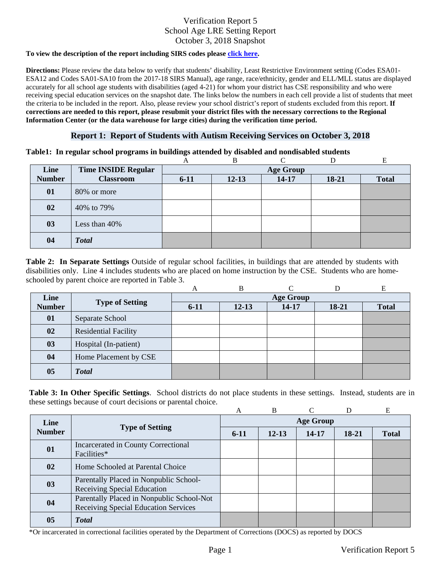#### **To view the description of the report including SIRS codes please click here.**

Information Center (or the data warehouse for large cities) during the verification time period. **Directions:** Please review the data below to verify that students' disability, Least Restrictive Environment setting (Codes ESA01- ESA12 and Codes SA01-SA10 from the 2017-18 SIRS Manual), age range, race/ethnicity, gender and ELL/MLL status are displayed accurately for all school age students with disabilities (aged 4-21) for whom your district has CSE responsibility and who were receiving special education services on the snapshot date. The links below the numbers in each cell provide a list of students that meet the criteria to be included in the report. Also, please review your school district's report of students excluded from this report. **If corrections are needed to this report, please resubmit your district files with the necessary corrections to the Regional** 

#### **Report 1: Report of Students with Autism Receiving Services on October 3, 2018**

#### **Table1: In regular school programs in buildings attended by disabled and nondisabled students**

|               |                            | А        | В                |           |       | E            |  |  |  |
|---------------|----------------------------|----------|------------------|-----------|-------|--------------|--|--|--|
| Line          | <b>Time INSIDE Regular</b> |          | <b>Age Group</b> |           |       |              |  |  |  |
| <b>Number</b> | <b>Classroom</b>           | $6 - 11$ | $12 - 13$        | $14 - 17$ | 18-21 | <b>Total</b> |  |  |  |
| 01            | 80% or more                |          |                  |           |       |              |  |  |  |
| 02            | 40% to 79%                 |          |                  |           |       |              |  |  |  |
| 03            | Less than 40%              |          |                  |           |       |              |  |  |  |
| 04            | <b>Total</b>               |          |                  |           |       |              |  |  |  |

schooled by parent choice are reported in Table 3.<br>
A B C D E **Table 2: In Separate Settings** Outside of regular school facilities, in buildings that are attended by students with disabilities only. Line 4 includes students who are placed on home instruction by the CSE. Students who are home-

|               |                             | А                | B         |       |         | E            |  |  |
|---------------|-----------------------------|------------------|-----------|-------|---------|--------------|--|--|
| Line          |                             | <b>Age Group</b> |           |       |         |              |  |  |
| <b>Number</b> | <b>Type of Setting</b>      | $6-11$           | $12 - 13$ | 14-17 | $18-21$ | <b>Total</b> |  |  |
| 01            | Separate School             |                  |           |       |         |              |  |  |
| 02            | <b>Residential Facility</b> |                  |           |       |         |              |  |  |
| 03            | Hospital (In-patient)       |                  |           |       |         |              |  |  |
| 04            | Home Placement by CSE       |                  |           |       |         |              |  |  |
| 05            | <b>Total</b>                |                  |           |       |         |              |  |  |

**Table 3: In Other Specific Settings**. School districts do not place students in these settings. Instead, students are in these settings because of court decisions or parental choice.

|               |                                                                                   | A                | B         |       |         | E            |  |  |
|---------------|-----------------------------------------------------------------------------------|------------------|-----------|-------|---------|--------------|--|--|
| Line          | <b>Type of Setting</b>                                                            | <b>Age Group</b> |           |       |         |              |  |  |
| <b>Number</b> |                                                                                   | $6-11$           | $12 - 13$ | 14-17 | $18-21$ | <b>Total</b> |  |  |
| 01            | Incarcerated in County Correctional<br>Facilities*                                |                  |           |       |         |              |  |  |
| 02            | Home Schooled at Parental Choice                                                  |                  |           |       |         |              |  |  |
| 03            | Parentally Placed in Nonpublic School-<br><b>Receiving Special Education</b>      |                  |           |       |         |              |  |  |
| 04            | Parentally Placed in Nonpublic School-Not<br>Receiving Special Education Services |                  |           |       |         |              |  |  |
| 05            | <b>Total</b>                                                                      |                  |           |       |         |              |  |  |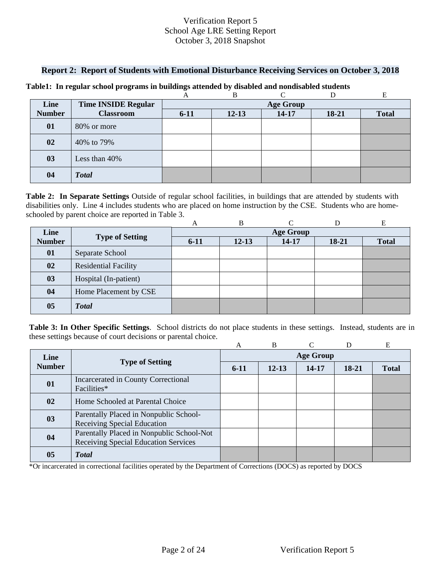### **Report 2: Report of Students with Emotional Disturbance Receiving Services on October 3, 2018**

|               |                            |                  | в         |       |       | E            |  |  |
|---------------|----------------------------|------------------|-----------|-------|-------|--------------|--|--|
| Line          | <b>Time INSIDE Regular</b> | <b>Age Group</b> |           |       |       |              |  |  |
| <b>Number</b> | <b>Classroom</b>           | $6 - 11$         | $12 - 13$ | 14-17 | 18-21 | <b>Total</b> |  |  |
| 01            | 80% or more                |                  |           |       |       |              |  |  |
| 02            | 40% to 79%                 |                  |           |       |       |              |  |  |
| 03            | Less than 40%              |                  |           |       |       |              |  |  |
| 04            | <b>Total</b>               |                  |           |       |       |              |  |  |

#### **Table1: In regular school programs in buildings attended by disabled and nondisabled students**

**Table 2: In Separate Settings** Outside of regular school facilities, in buildings that are attended by students with disabilities only. Line 4 includes students who are placed on home instruction by the CSE. Students who are home-

|               | schooled by parent choice are reported in Table 3. |                  |           |               |         |              |  |  |  |  |
|---------------|----------------------------------------------------|------------------|-----------|---------------|---------|--------------|--|--|--|--|
|               |                                                    | A                | B         | $\mathcal{C}$ | D       | E            |  |  |  |  |
| Line          |                                                    | <b>Age Group</b> |           |               |         |              |  |  |  |  |
| <b>Number</b> | <b>Type of Setting</b>                             | $6 - 11$         | $12 - 13$ | $14 - 17$     | $18-21$ | <b>Total</b> |  |  |  |  |
| 01            | Separate School                                    |                  |           |               |         |              |  |  |  |  |
| 02            | <b>Residential Facility</b>                        |                  |           |               |         |              |  |  |  |  |
| 03            | Hospital (In-patient)                              |                  |           |               |         |              |  |  |  |  |
| 04            | Home Placement by CSE                              |                  |           |               |         |              |  |  |  |  |
| 05            | <b>Total</b>                                       |                  |           |               |         |              |  |  |  |  |

**Table 3: In Other Specific Settings**. School districts do not place students in these settings. Instead, students are in these settings because of court decisions or parental choice.

|                |                                                                                   | A                | R         |       | D       | E            |  |  |
|----------------|-----------------------------------------------------------------------------------|------------------|-----------|-------|---------|--------------|--|--|
| Line           | <b>Type of Setting</b>                                                            | <b>Age Group</b> |           |       |         |              |  |  |
| <b>Number</b>  |                                                                                   | $6-11$           | $12 - 13$ | 14-17 | $18-21$ | <b>Total</b> |  |  |
| 01             | Incarcerated in County Correctional<br>Facilities*                                |                  |           |       |         |              |  |  |
| $\bf{02}$      | Home Schooled at Parental Choice                                                  |                  |           |       |         |              |  |  |
| 03             | Parentally Placed in Nonpublic School-<br><b>Receiving Special Education</b>      |                  |           |       |         |              |  |  |
| 04             | Parentally Placed in Nonpublic School-Not<br>Receiving Special Education Services |                  |           |       |         |              |  |  |
| 0 <sub>5</sub> | <b>Total</b>                                                                      |                  |           |       |         |              |  |  |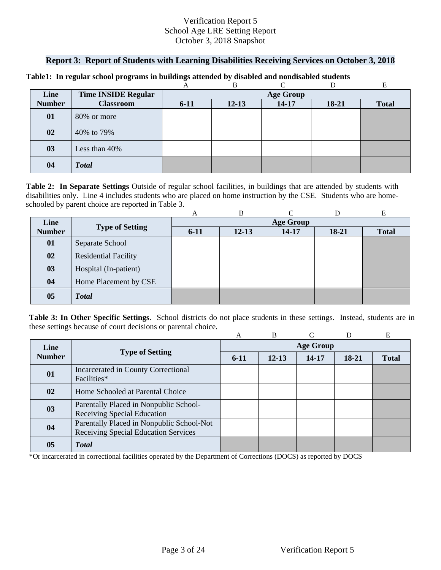### **Report 3: Report of Students with Learning Disabilities Receiving Services on October 3, 2018**

| Line          | <b>Time INSIDE Regular</b> | <b>Age Group</b> |           |           |           |              |  |  |
|---------------|----------------------------|------------------|-----------|-----------|-----------|--------------|--|--|
| <b>Number</b> | <b>Classroom</b>           | $6 - 11$         | $12 - 13$ | $14 - 17$ | $18 - 21$ | <b>Total</b> |  |  |
| 01            | 80% or more                |                  |           |           |           |              |  |  |
| 02            | 40% to 79%                 |                  |           |           |           |              |  |  |
| 03            | Less than 40%              |                  |           |           |           |              |  |  |
| 04            | <b>Total</b>               |                  |           |           |           |              |  |  |

#### **Table1: In regular school programs in buildings attended by disabled and nondisabled students**

schooled by parent choice are reported in Table 3.<br>
A B C D E **Table 2: In Separate Settings** Outside of regular school facilities, in buildings that are attended by students with disabilities only. Line 4 includes students who are placed on home instruction by the CSE. Students who are home-

|                |                             | A                | B         |       |         | Е            |  |
|----------------|-----------------------------|------------------|-----------|-------|---------|--------------|--|
| Line           |                             | <b>Age Group</b> |           |       |         |              |  |
| <b>Number</b>  | <b>Type of Setting</b>      | $6 - 11$         | $12 - 13$ | 14-17 | $18-21$ | <b>Total</b> |  |
| 01             | Separate School             |                  |           |       |         |              |  |
| 02             | <b>Residential Facility</b> |                  |           |       |         |              |  |
| 03             | Hospital (In-patient)       |                  |           |       |         |              |  |
| 04             | Home Placement by CSE       |                  |           |       |         |              |  |
| 0 <sub>5</sub> | <b>Total</b>                |                  |           |       |         |              |  |

**Table 3: In Other Specific Settings**. School districts do not place students in these settings. Instead, students are in these settings because of court decisions or parental choice.

|               |                                                                                          | A                | B         |       | D       | E            |  |  |
|---------------|------------------------------------------------------------------------------------------|------------------|-----------|-------|---------|--------------|--|--|
| Line          |                                                                                          | <b>Age Group</b> |           |       |         |              |  |  |
| <b>Number</b> | <b>Type of Setting</b>                                                                   | $6-11$           | $12 - 13$ | 14-17 | $18-21$ | <b>Total</b> |  |  |
| 01            | Incarcerated in County Correctional<br>Facilities*                                       |                  |           |       |         |              |  |  |
| 02            | Home Schooled at Parental Choice                                                         |                  |           |       |         |              |  |  |
| 03            | Parentally Placed in Nonpublic School-<br>Receiving Special Education                    |                  |           |       |         |              |  |  |
| 04            | Parentally Placed in Nonpublic School-Not<br><b>Receiving Special Education Services</b> |                  |           |       |         |              |  |  |
| 05            | <b>T</b> otal                                                                            |                  |           |       |         |              |  |  |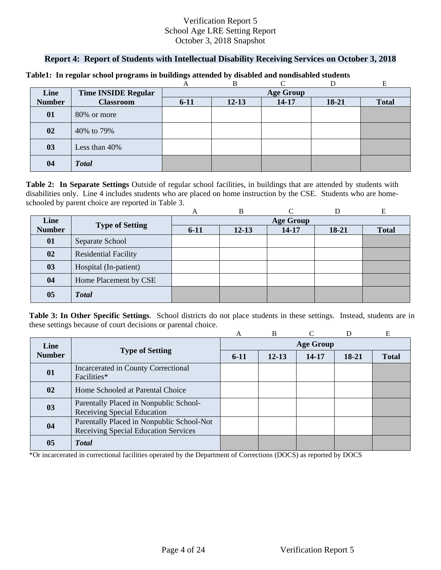### **Report 4: Report of Students with Intellectual Disability Receiving Services on October 3, 2018**

|               |                            |                  | в         |           |       |              |  |  |
|---------------|----------------------------|------------------|-----------|-----------|-------|--------------|--|--|
| Line          | <b>Time INSIDE Regular</b> | <b>Age Group</b> |           |           |       |              |  |  |
| <b>Number</b> | <b>Classroom</b>           | $6 - 11$         | $12 - 13$ | $14 - 17$ | 18-21 | <b>Total</b> |  |  |
| 01            | 80% or more                |                  |           |           |       |              |  |  |
| 02            | 40% to 79%                 |                  |           |           |       |              |  |  |
| 03            | Less than 40%              |                  |           |           |       |              |  |  |
| 04            | <b>Total</b>               |                  |           |           |       |              |  |  |

#### **Table1: In regular school programs in buildings attended by disabled and nondisabled students**

schooled by parent choice are reported in Table 3.<br>
A B C D E **Table 2: In Separate Settings** Outside of regular school facilities, in buildings that are attended by students with disabilities only. Line 4 includes students who are placed on home instruction by the CSE. Students who are home-

|                |                             | A                | B         |           |         | E            |  |  |
|----------------|-----------------------------|------------------|-----------|-----------|---------|--------------|--|--|
| Line           |                             | <b>Age Group</b> |           |           |         |              |  |  |
| <b>Number</b>  | <b>Type of Setting</b>      | $6 - 11$         | $12 - 13$ | $14 - 17$ | $18-21$ | <b>Total</b> |  |  |
| 01             | Separate School             |                  |           |           |         |              |  |  |
| 02             | <b>Residential Facility</b> |                  |           |           |         |              |  |  |
| 03             | Hospital (In-patient)       |                  |           |           |         |              |  |  |
| 04             | Home Placement by CSE       |                  |           |           |         |              |  |  |
| 0 <sub>5</sub> | <b>Total</b>                |                  |           |           |         |              |  |  |

**Table 3: In Other Specific Settings**. School districts do not place students in these settings. Instead, students are in these settings because of court decisions or parental choice.

|               |                                                                                          | A                | B         |       |         | E            |  |  |
|---------------|------------------------------------------------------------------------------------------|------------------|-----------|-------|---------|--------------|--|--|
| Line          | <b>Type of Setting</b>                                                                   | <b>Age Group</b> |           |       |         |              |  |  |
| <b>Number</b> |                                                                                          | $6-11$           | $12 - 13$ | 14-17 | $18-21$ | <b>Total</b> |  |  |
| 01            | Incarcerated in County Correctional<br>Facilities*                                       |                  |           |       |         |              |  |  |
| $\mathbf{02}$ | Home Schooled at Parental Choice                                                         |                  |           |       |         |              |  |  |
| 03            | Parentally Placed in Nonpublic School-<br>Receiving Special Education                    |                  |           |       |         |              |  |  |
| 04            | Parentally Placed in Nonpublic School-Not<br><b>Receiving Special Education Services</b> |                  |           |       |         |              |  |  |
| 05            | <b>Total</b>                                                                             |                  |           |       |         |              |  |  |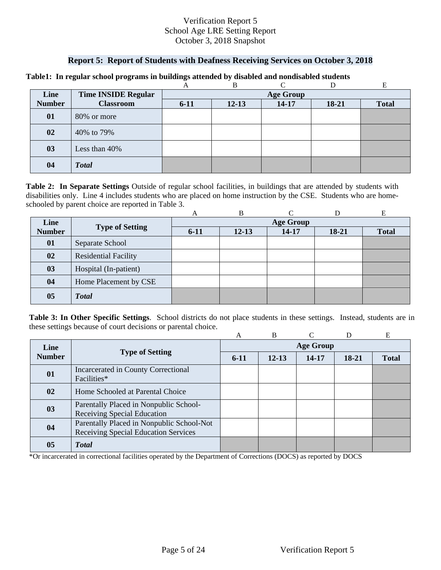### **Report 5: Report of Students with Deafness Receiving Services on October 3, 2018**

|               |                            |                  | в         |           |       |              |  |  |
|---------------|----------------------------|------------------|-----------|-----------|-------|--------------|--|--|
| Line          | <b>Time INSIDE Regular</b> | <b>Age Group</b> |           |           |       |              |  |  |
| <b>Number</b> | <b>Classroom</b>           | $6 - 11$         | $12 - 13$ | $14 - 17$ | 18-21 | <b>Total</b> |  |  |
| 01            | 80% or more                |                  |           |           |       |              |  |  |
| 02            | 40% to 79%                 |                  |           |           |       |              |  |  |
| 03            | Less than 40%              |                  |           |           |       |              |  |  |
| 04            | <b>Total</b>               |                  |           |           |       |              |  |  |

#### **Table1: In regular school programs in buildings attended by disabled and nondisabled students**

schooled by parent choice are reported in Table 3.<br>
A B C D E **Table 2: In Separate Settings** Outside of regular school facilities, in buildings that are attended by students with disabilities only. Line 4 includes students who are placed on home instruction by the CSE. Students who are home-

|               |                             | А                | В         |       |         | E            |  |  |
|---------------|-----------------------------|------------------|-----------|-------|---------|--------------|--|--|
| Line          |                             | <b>Age Group</b> |           |       |         |              |  |  |
| <b>Number</b> | <b>Type of Setting</b>      | $6 - 11$         | $12 - 13$ | 14-17 | $18-21$ | <b>Total</b> |  |  |
| 01            | Separate School             |                  |           |       |         |              |  |  |
| 02            | <b>Residential Facility</b> |                  |           |       |         |              |  |  |
| 03            | Hospital (In-patient)       |                  |           |       |         |              |  |  |
| 04            | Home Placement by CSE       |                  |           |       |         |              |  |  |
| 05            | <b>Total</b>                |                  |           |       |         |              |  |  |

**Table 3: In Other Specific Settings**. School districts do not place students in these settings. Instead, students are in these settings because of court decisions or parental choice.

|               |                                                                                          | A                | B         |       | D       | E            |  |  |
|---------------|------------------------------------------------------------------------------------------|------------------|-----------|-------|---------|--------------|--|--|
| Line          |                                                                                          | <b>Age Group</b> |           |       |         |              |  |  |
| <b>Number</b> | <b>Type of Setting</b>                                                                   | $6-11$           | $12 - 13$ | 14-17 | $18-21$ | <b>Total</b> |  |  |
| 01            | Incarcerated in County Correctional<br>Facilities*                                       |                  |           |       |         |              |  |  |
| 02            | Home Schooled at Parental Choice                                                         |                  |           |       |         |              |  |  |
| 03            | Parentally Placed in Nonpublic School-<br>Receiving Special Education                    |                  |           |       |         |              |  |  |
| 04            | Parentally Placed in Nonpublic School-Not<br><b>Receiving Special Education Services</b> |                  |           |       |         |              |  |  |
| 05            | <b>T</b> otal                                                                            |                  |           |       |         |              |  |  |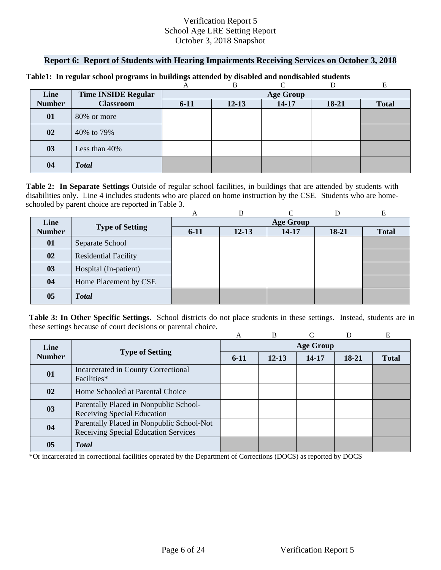### **Report 6: Report of Students with Hearing Impairments Receiving Services on October 3, 2018**

|               |                            |                  | B         |           |       |              |  |  |
|---------------|----------------------------|------------------|-----------|-----------|-------|--------------|--|--|
| Line          | <b>Time INSIDE Regular</b> | <b>Age Group</b> |           |           |       |              |  |  |
| <b>Number</b> | <b>Classroom</b>           | $6 - 11$         | $12 - 13$ | $14 - 17$ | 18-21 | <b>Total</b> |  |  |
| 01            | 80% or more                |                  |           |           |       |              |  |  |
| 02            | 40% to 79%                 |                  |           |           |       |              |  |  |
| 03            | Less than 40%              |                  |           |           |       |              |  |  |
| 04            | <b>Total</b>               |                  |           |           |       |              |  |  |

#### **Table1: In regular school programs in buildings attended by disabled and nondisabled students**

schooled by parent choice are reported in Table 3.<br>
A B C D E **Table 2: In Separate Settings** Outside of regular school facilities, in buildings that are attended by students with disabilities only. Line 4 includes students who are placed on home instruction by the CSE. Students who are home-

|                |                             | A                | B         |       |         | Е            |  |  |
|----------------|-----------------------------|------------------|-----------|-------|---------|--------------|--|--|
| Line           |                             | <b>Age Group</b> |           |       |         |              |  |  |
| <b>Number</b>  | <b>Type of Setting</b>      | $6-11$           | $12 - 13$ | 14-17 | $18-21$ | <b>Total</b> |  |  |
| 01             | Separate School             |                  |           |       |         |              |  |  |
| 02             | <b>Residential Facility</b> |                  |           |       |         |              |  |  |
| 03             | Hospital (In-patient)       |                  |           |       |         |              |  |  |
| 04             | Home Placement by CSE       |                  |           |       |         |              |  |  |
| 0 <sub>5</sub> | <b>Total</b>                |                  |           |       |         |              |  |  |

**Table 3: In Other Specific Settings**. School districts do not place students in these settings. Instead, students are in these settings because of court decisions or parental choice.

|               |                                                                                          | A                | B         |       | D       | E            |  |  |
|---------------|------------------------------------------------------------------------------------------|------------------|-----------|-------|---------|--------------|--|--|
| Line          | <b>Type of Setting</b>                                                                   | <b>Age Group</b> |           |       |         |              |  |  |
| <b>Number</b> |                                                                                          | $6-11$           | $12 - 13$ | 14-17 | $18-21$ | <b>Total</b> |  |  |
| 01            | Incarcerated in County Correctional<br>Facilities*                                       |                  |           |       |         |              |  |  |
| 02            | Home Schooled at Parental Choice                                                         |                  |           |       |         |              |  |  |
| 03            | Parentally Placed in Nonpublic School-<br>Receiving Special Education                    |                  |           |       |         |              |  |  |
| 04            | Parentally Placed in Nonpublic School-Not<br><b>Receiving Special Education Services</b> |                  |           |       |         |              |  |  |
| 05            | <b>T</b> otal                                                                            |                  |           |       |         |              |  |  |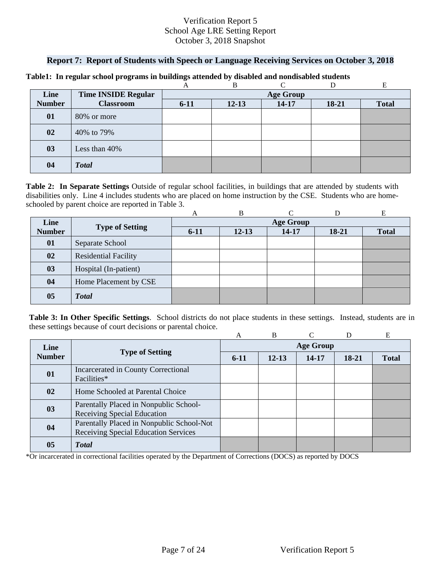### **Report 7: Report of Students with Speech or Language Receiving Services on October 3, 2018**

| Line          | <b>Time INSIDE Regular</b> | <b>Age Group</b> |           |           |           |              |  |  |
|---------------|----------------------------|------------------|-----------|-----------|-----------|--------------|--|--|
| <b>Number</b> | <b>Classroom</b>           | $6 - 11$         | $12 - 13$ | $14 - 17$ | $18 - 21$ | <b>Total</b> |  |  |
| 01            | 80% or more                |                  |           |           |           |              |  |  |
| 02            | 40% to 79%                 |                  |           |           |           |              |  |  |
| 03            | Less than 40%              |                  |           |           |           |              |  |  |
| 04            | <b>Total</b>               |                  |           |           |           |              |  |  |

#### **Table1: In regular school programs in buildings attended by disabled and nondisabled students**

schooled by parent choice are reported in Table 3.<br>
A B C D E **Table 2: In Separate Settings** Outside of regular school facilities, in buildings that are attended by students with disabilities only. Line 4 includes students who are placed on home instruction by the CSE. Students who are home-

|                |                             | A                | B         |       |         | Е            |  |  |
|----------------|-----------------------------|------------------|-----------|-------|---------|--------------|--|--|
| Line           |                             | <b>Age Group</b> |           |       |         |              |  |  |
| <b>Number</b>  | <b>Type of Setting</b>      | $6 - 11$         | $12 - 13$ | 14-17 | $18-21$ | <b>Total</b> |  |  |
| 01             | Separate School             |                  |           |       |         |              |  |  |
| 02             | <b>Residential Facility</b> |                  |           |       |         |              |  |  |
| 03             | Hospital (In-patient)       |                  |           |       |         |              |  |  |
| 04             | Home Placement by CSE       |                  |           |       |         |              |  |  |
| 0 <sub>5</sub> | <b>Total</b>                |                  |           |       |         |              |  |  |

**Table 3: In Other Specific Settings**. School districts do not place students in these settings. Instead, students are in these settings because of court decisions or parental choice.

|                                                          |                                           | A                | B         |           | D     | E            |  |  |
|----------------------------------------------------------|-------------------------------------------|------------------|-----------|-----------|-------|--------------|--|--|
| Line                                                     |                                           | <b>Age Group</b> |           |           |       |              |  |  |
| <b>Number</b>                                            | <b>Type of Setting</b>                    | $6-11$           | $12 - 13$ | $14 - 17$ | 18-21 | <b>Total</b> |  |  |
| Incarcerated in County Correctional<br>01<br>Facilities* |                                           |                  |           |           |       |              |  |  |
|                                                          |                                           |                  |           |           |       |              |  |  |
| 02                                                       | Home Schooled at Parental Choice          |                  |           |           |       |              |  |  |
| 03                                                       | Parentally Placed in Nonpublic School-    |                  |           |           |       |              |  |  |
|                                                          | Receiving Special Education               |                  |           |           |       |              |  |  |
| 04                                                       | Parentally Placed in Nonpublic School-Not |                  |           |           |       |              |  |  |
|                                                          | Receiving Special Education Services      |                  |           |           |       |              |  |  |
| 05                                                       | <b>T</b> otal                             |                  |           |           |       |              |  |  |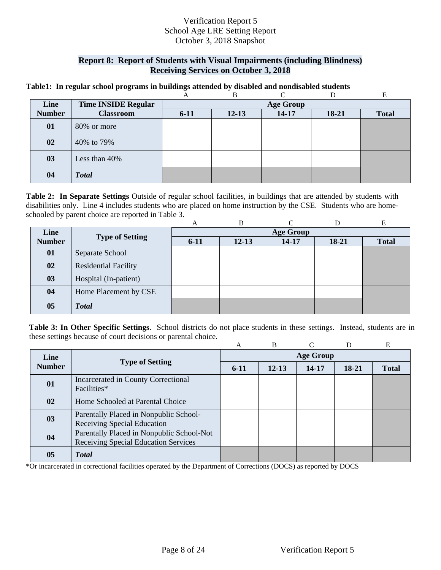### **Report 8: Report of Students with Visual Impairments (including Blindness) Receiving Services on October 3, 2018**

#### **Table1: In regular school programs in buildings attended by disabled and nondisabled students**

|               |                            |                  | в         |           |       | E            |  |  |
|---------------|----------------------------|------------------|-----------|-----------|-------|--------------|--|--|
| Line          | <b>Time INSIDE Regular</b> | <b>Age Group</b> |           |           |       |              |  |  |
| <b>Number</b> | <b>Classroom</b>           | $6 - 11$         | $12 - 13$ | $14 - 17$ | 18-21 | <b>Total</b> |  |  |
| 01            | 80% or more                |                  |           |           |       |              |  |  |
| 02            | 40% to 79%                 |                  |           |           |       |              |  |  |
| 03            | Less than 40%              |                  |           |           |       |              |  |  |
| 04            | <b>Total</b>               |                  |           |           |       |              |  |  |

schooled by parent choice are reported in Table 3.<br>
A B C D E **Table 2: In Separate Settings** Outside of regular school facilities, in buildings that are attended by students with disabilities only. Line 4 includes students who are placed on home instruction by the CSE. Students who are home-

|               |                             | A                | В         |       |         | E            |  |  |
|---------------|-----------------------------|------------------|-----------|-------|---------|--------------|--|--|
| Line          |                             | <b>Age Group</b> |           |       |         |              |  |  |
| <b>Number</b> | <b>Type of Setting</b>      | $6 - 11$         | $12 - 13$ | 14-17 | $18-21$ | <b>Total</b> |  |  |
| 01            | Separate School             |                  |           |       |         |              |  |  |
| 02            | <b>Residential Facility</b> |                  |           |       |         |              |  |  |
| 03            | Hospital (In-patient)       |                  |           |       |         |              |  |  |
| 04            | Home Placement by CSE       |                  |           |       |         |              |  |  |
| 05            | <b>Total</b>                |                  |           |       |         |              |  |  |

**Table 3: In Other Specific Settings**. School districts do not place students in these settings. Instead, students are in these settings because of court decisions or parental choice.

|               |                                                                                   | A                | B         |       | D     | Е            |  |  |
|---------------|-----------------------------------------------------------------------------------|------------------|-----------|-------|-------|--------------|--|--|
| Line          |                                                                                   | <b>Age Group</b> |           |       |       |              |  |  |
| <b>Number</b> | <b>Type of Setting</b>                                                            | $6-11$           | $12 - 13$ | 14-17 | 18-21 | <b>Total</b> |  |  |
| 01            | Incarcerated in County Correctional<br>Facilities*                                |                  |           |       |       |              |  |  |
| 02            | Home Schooled at Parental Choice                                                  |                  |           |       |       |              |  |  |
| 03            | Parentally Placed in Nonpublic School-<br>Receiving Special Education             |                  |           |       |       |              |  |  |
| 04            | Parentally Placed in Nonpublic School-Not<br>Receiving Special Education Services |                  |           |       |       |              |  |  |
| 05            | <b>T</b> otal                                                                     |                  |           |       |       |              |  |  |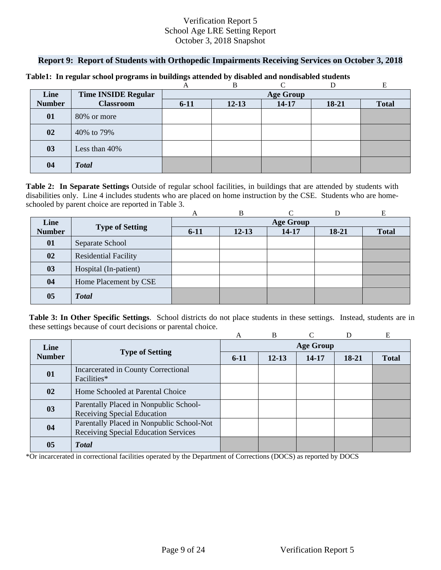### **Report 9: Report of Students with Orthopedic Impairments Receiving Services on October 3, 2018**

|               |                            |                  | B         |           |       |              |  |  |
|---------------|----------------------------|------------------|-----------|-----------|-------|--------------|--|--|
| Line          | <b>Time INSIDE Regular</b> | <b>Age Group</b> |           |           |       |              |  |  |
| <b>Number</b> | <b>Classroom</b>           | $6 - 11$         | $12 - 13$ | $14 - 17$ | 18-21 | <b>Total</b> |  |  |
| 01            | 80% or more                |                  |           |           |       |              |  |  |
| 02            | 40% to 79%                 |                  |           |           |       |              |  |  |
| 03            | Less than 40%              |                  |           |           |       |              |  |  |
| 04            | <b>Total</b>               |                  |           |           |       |              |  |  |

#### **Table1: In regular school programs in buildings attended by disabled and nondisabled students**

schooled by parent choice are reported in Table 3.<br>
A B C D E **Table 2: In Separate Settings** Outside of regular school facilities, in buildings that are attended by students with disabilities only. Line 4 includes students who are placed on home instruction by the CSE. Students who are home-

|                |                             | A                | B         |       |         | Е            |  |  |
|----------------|-----------------------------|------------------|-----------|-------|---------|--------------|--|--|
| Line           |                             | <b>Age Group</b> |           |       |         |              |  |  |
| <b>Number</b>  | <b>Type of Setting</b>      | $6 - 11$         | $12 - 13$ | 14-17 | $18-21$ | <b>Total</b> |  |  |
| 01             | Separate School             |                  |           |       |         |              |  |  |
| 02             | <b>Residential Facility</b> |                  |           |       |         |              |  |  |
| 03             | Hospital (In-patient)       |                  |           |       |         |              |  |  |
| 04             | Home Placement by CSE       |                  |           |       |         |              |  |  |
| 0 <sub>5</sub> | <b>Total</b>                |                  |           |       |         |              |  |  |

**Table 3: In Other Specific Settings**. School districts do not place students in these settings. Instead, students are in these settings because of court decisions or parental choice.

|               |                                           | A                | B         |           | D     | E            |  |  |
|---------------|-------------------------------------------|------------------|-----------|-----------|-------|--------------|--|--|
| Line          | <b>Type of Setting</b>                    | <b>Age Group</b> |           |           |       |              |  |  |
| <b>Number</b> |                                           | $6-11$           | $12 - 13$ | $14 - 17$ | 18-21 | <b>Total</b> |  |  |
| 01            | Incarcerated in County Correctional       |                  |           |           |       |              |  |  |
|               | Facilities*                               |                  |           |           |       |              |  |  |
| 02            | Home Schooled at Parental Choice          |                  |           |           |       |              |  |  |
| 03            | Parentally Placed in Nonpublic School-    |                  |           |           |       |              |  |  |
|               | Receiving Special Education               |                  |           |           |       |              |  |  |
| 04            | Parentally Placed in Nonpublic School-Not |                  |           |           |       |              |  |  |
|               | Receiving Special Education Services      |                  |           |           |       |              |  |  |
| 05            | <b>T</b> otal                             |                  |           |           |       |              |  |  |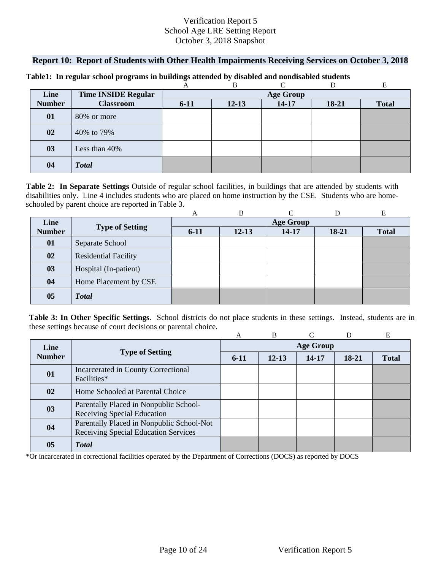### **Report 10: Report of Students with Other Health Impairments Receiving Services on October 3, 2018**

|               |                            |                  | B         |       |       |              |  |  |
|---------------|----------------------------|------------------|-----------|-------|-------|--------------|--|--|
| Line          | <b>Time INSIDE Regular</b> | <b>Age Group</b> |           |       |       |              |  |  |
| <b>Number</b> | <b>Classroom</b>           | $6 - 11$         | $12 - 13$ | 14-17 | 18-21 | <b>Total</b> |  |  |
| 01            | 80% or more                |                  |           |       |       |              |  |  |
| 02            | 40% to 79%                 |                  |           |       |       |              |  |  |
| 03            | Less than 40%              |                  |           |       |       |              |  |  |
| 04            | <b>Total</b>               |                  |           |       |       |              |  |  |

#### **Table1: In regular school programs in buildings attended by disabled and nondisabled students**

schooled by parent choice are reported in Table 3.<br>
A B C D E **Table 2: In Separate Settings** Outside of regular school facilities, in buildings that are attended by students with disabilities only. Line 4 includes students who are placed on home instruction by the CSE. Students who are home-

|                |                             | A                | B         |       |         | Е            |  |  |
|----------------|-----------------------------|------------------|-----------|-------|---------|--------------|--|--|
| Line           |                             | <b>Age Group</b> |           |       |         |              |  |  |
| <b>Number</b>  | <b>Type of Setting</b>      | $6 - 11$         | $12 - 13$ | 14-17 | $18-21$ | <b>Total</b> |  |  |
| 01             | Separate School             |                  |           |       |         |              |  |  |
| 02             | <b>Residential Facility</b> |                  |           |       |         |              |  |  |
| 03             | Hospital (In-patient)       |                  |           |       |         |              |  |  |
| 04             | Home Placement by CSE       |                  |           |       |         |              |  |  |
| 0 <sub>5</sub> | <b>Total</b>                |                  |           |       |         |              |  |  |

**Table 3: In Other Specific Settings**. School districts do not place students in these settings. Instead, students are in these settings because of court decisions or parental choice.

|               |                                           | A                | B         |           | D     | E            |  |  |
|---------------|-------------------------------------------|------------------|-----------|-----------|-------|--------------|--|--|
| Line          | <b>Type of Setting</b>                    | <b>Age Group</b> |           |           |       |              |  |  |
| <b>Number</b> |                                           | $6-11$           | $12 - 13$ | $14 - 17$ | 18-21 | <b>Total</b> |  |  |
| 01            | Incarcerated in County Correctional       |                  |           |           |       |              |  |  |
|               | Facilities*                               |                  |           |           |       |              |  |  |
| 02            | Home Schooled at Parental Choice          |                  |           |           |       |              |  |  |
| 03            | Parentally Placed in Nonpublic School-    |                  |           |           |       |              |  |  |
|               | Receiving Special Education               |                  |           |           |       |              |  |  |
| 04            | Parentally Placed in Nonpublic School-Not |                  |           |           |       |              |  |  |
|               | Receiving Special Education Services      |                  |           |           |       |              |  |  |
| 05            | <b>T</b> otal                             |                  |           |           |       |              |  |  |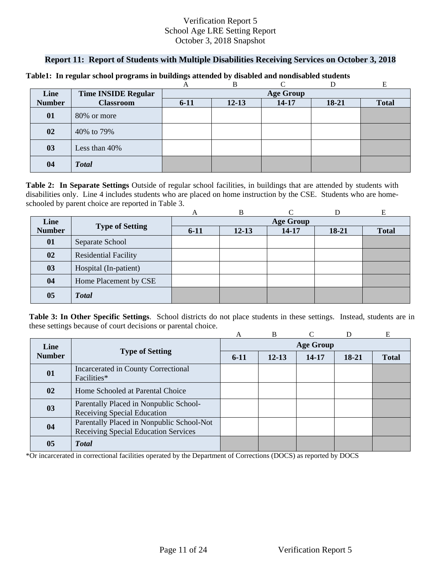### **Report 11: Report of Students with Multiple Disabilities Receiving Services on October 3, 2018**

| Line          | <b>Time INSIDE Regular</b> |          | <b>Age Group</b> |           |           |              |  |  |  |
|---------------|----------------------------|----------|------------------|-----------|-----------|--------------|--|--|--|
| <b>Number</b> | <b>Classroom</b>           | $6 - 11$ | $12 - 13$        | $14 - 17$ | $18 - 21$ | <b>Total</b> |  |  |  |
| 01            | 80% or more                |          |                  |           |           |              |  |  |  |
| 02            | 40% to 79%                 |          |                  |           |           |              |  |  |  |
| 03            | Less than 40%              |          |                  |           |           |              |  |  |  |
| 04            | <b>Total</b>               |          |                  |           |           |              |  |  |  |

#### **Table1: In regular school programs in buildings attended by disabled and nondisabled students**

schooled by parent choice are reported in Table 3.<br>
A B C D E **Table 2: In Separate Settings** Outside of regular school facilities, in buildings that are attended by students with disabilities only. Line 4 includes students who are placed on home instruction by the CSE. Students who are home-

|               |                             | A                | B         |       |         | Е            |  |
|---------------|-----------------------------|------------------|-----------|-------|---------|--------------|--|
| Line          | <b>Type of Setting</b>      | <b>Age Group</b> |           |       |         |              |  |
| <b>Number</b> |                             | $6 - 11$         | $12 - 13$ | 14-17 | $18-21$ | <b>Total</b> |  |
| 01            | Separate School             |                  |           |       |         |              |  |
| 02            | <b>Residential Facility</b> |                  |           |       |         |              |  |
| 03            | Hospital (In-patient)       |                  |           |       |         |              |  |
| 04            | Home Placement by CSE       |                  |           |       |         |              |  |
| 05            | <b>Total</b>                |                  |           |       |         |              |  |

**Table 3: In Other Specific Settings**. School districts do not place students in these settings. Instead, students are in these settings because of court decisions or parental choice.

|                |                                                                                          | A                | B         |       |       | Е            |  |  |
|----------------|------------------------------------------------------------------------------------------|------------------|-----------|-------|-------|--------------|--|--|
| Line           |                                                                                          | <b>Age Group</b> |           |       |       |              |  |  |
| <b>Number</b>  | <b>Type of Setting</b>                                                                   | $6-11$           | $12 - 13$ | 14-17 | 18-21 | <b>Total</b> |  |  |
| 01             | Incarcerated in County Correctional<br>Facilities*                                       |                  |           |       |       |              |  |  |
| 02             | Home Schooled at Parental Choice                                                         |                  |           |       |       |              |  |  |
| 03             | Parentally Placed in Nonpublic School-<br>Receiving Special Education                    |                  |           |       |       |              |  |  |
| 04             | Parentally Placed in Nonpublic School-Not<br><b>Receiving Special Education Services</b> |                  |           |       |       |              |  |  |
| 0 <sub>5</sub> | <b>T</b> otal                                                                            |                  |           |       |       |              |  |  |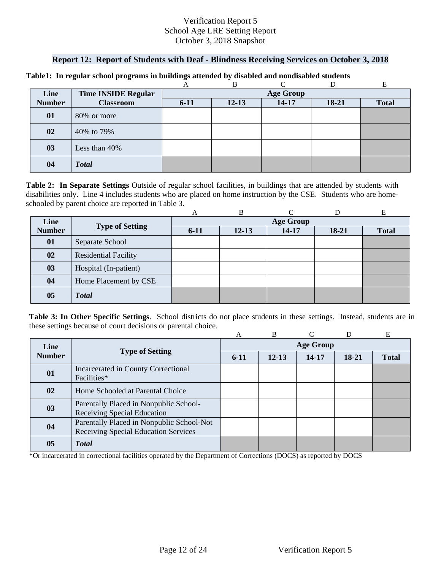### **Report 12: Report of Students with Deaf - Blindness Receiving Services on October 3, 2018**

|               |                            |          | B                |           |           |              |  |  |  |
|---------------|----------------------------|----------|------------------|-----------|-----------|--------------|--|--|--|
| Line          | <b>Time INSIDE Regular</b> |          | <b>Age Group</b> |           |           |              |  |  |  |
| <b>Number</b> | <b>Classroom</b>           | $6 - 11$ | $12 - 13$        | $14 - 17$ | $18 - 21$ | <b>Total</b> |  |  |  |
| 01            | 80% or more                |          |                  |           |           |              |  |  |  |
| 02            | 40% to 79%                 |          |                  |           |           |              |  |  |  |
| 03            | Less than 40%              |          |                  |           |           |              |  |  |  |
| 04            | <b>Total</b>               |          |                  |           |           |              |  |  |  |

#### **Table1: In regular school programs in buildings attended by disabled and nondisabled students**

schooled by parent choice are reported in Table 3.<br>
A B C D E **Table 2: In Separate Settings** Outside of regular school facilities, in buildings that are attended by students with disabilities only. Line 4 includes students who are placed on home instruction by the CSE. Students who are home-

|               |                             | A                | B         |       |       | Е            |  |
|---------------|-----------------------------|------------------|-----------|-------|-------|--------------|--|
| Line          |                             | <b>Age Group</b> |           |       |       |              |  |
| <b>Number</b> | <b>Type of Setting</b>      | $6 - 11$         | $12 - 13$ | 14-17 | 18-21 | <b>Total</b> |  |
| 01            | Separate School             |                  |           |       |       |              |  |
| 02            | <b>Residential Facility</b> |                  |           |       |       |              |  |
| 03            | Hospital (In-patient)       |                  |           |       |       |              |  |
| 04            | Home Placement by CSE       |                  |           |       |       |              |  |
| 05            | <b>Total</b>                |                  |           |       |       |              |  |

**Table 3: In Other Specific Settings**. School districts do not place students in these settings. Instead, students are in these settings because of court decisions or parental choice.

|               |                                                                                   | A                | B         |       |       | E            |  |  |
|---------------|-----------------------------------------------------------------------------------|------------------|-----------|-------|-------|--------------|--|--|
| Line          | <b>Type of Setting</b>                                                            | <b>Age Group</b> |           |       |       |              |  |  |
| <b>Number</b> |                                                                                   | $6-11$           | $12 - 13$ | 14-17 | 18-21 | <b>Total</b> |  |  |
| 01            | Incarcerated in County Correctional<br>Facilities*                                |                  |           |       |       |              |  |  |
| 02            | Home Schooled at Parental Choice                                                  |                  |           |       |       |              |  |  |
| 03            | Parentally Placed in Nonpublic School-<br><b>Receiving Special Education</b>      |                  |           |       |       |              |  |  |
| 04            | Parentally Placed in Nonpublic School-Not<br>Receiving Special Education Services |                  |           |       |       |              |  |  |
| 05            | <b>Total</b>                                                                      |                  |           |       |       |              |  |  |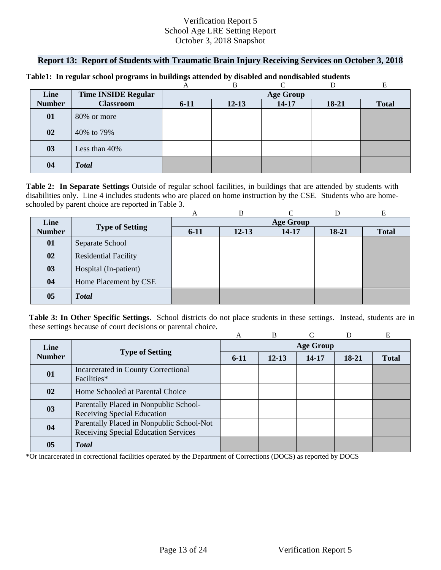### **Report 13: Report of Students with Traumatic Brain Injury Receiving Services on October 3, 2018**

|               |                            |          | B         |                  |       |              |
|---------------|----------------------------|----------|-----------|------------------|-------|--------------|
| Line          | <b>Time INSIDE Regular</b> |          |           | <b>Age Group</b> |       |              |
| <b>Number</b> | <b>Classroom</b>           | $6 - 11$ | $12 - 13$ | $14 - 17$        | 18-21 | <b>Total</b> |
| 01            | 80% or more                |          |           |                  |       |              |
| 02            | 40% to 79%                 |          |           |                  |       |              |
| 03            | Less than 40%              |          |           |                  |       |              |
| 04            | <b>Total</b>               |          |           |                  |       |              |

#### **Table1: In regular school programs in buildings attended by disabled and nondisabled students**

schooled by parent choice are reported in Table 3.<br>
A B C D E **Table 2: In Separate Settings** Outside of regular school facilities, in buildings that are attended by students with disabilities only. Line 4 includes students who are placed on home instruction by the CSE. Students who are home-

|                |                             | A      | B         |                  |         | Е            |
|----------------|-----------------------------|--------|-----------|------------------|---------|--------------|
| Line           |                             |        |           | <b>Age Group</b> |         |              |
| <b>Number</b>  | <b>Type of Setting</b>      | $6-11$ | $12 - 13$ | 14-17            | $18-21$ | <b>Total</b> |
| 01             | Separate School             |        |           |                  |         |              |
| 02             | <b>Residential Facility</b> |        |           |                  |         |              |
| 03             | Hospital (In-patient)       |        |           |                  |         |              |
| 04             | Home Placement by CSE       |        |           |                  |         |              |
| 0 <sub>5</sub> | <b>Total</b>                |        |           |                  |         |              |

**Table 3: In Other Specific Settings**. School districts do not place students in these settings. Instead, students are in these settings because of court decisions or parental choice.

|               |                                           | A                | B         |           | D     | E            |  |  |  |  |  |
|---------------|-------------------------------------------|------------------|-----------|-----------|-------|--------------|--|--|--|--|--|
| Line          |                                           | <b>Age Group</b> |           |           |       |              |  |  |  |  |  |
| <b>Number</b> | <b>Type of Setting</b>                    | $6-11$           | $12 - 13$ | $14 - 17$ | 18-21 | <b>Total</b> |  |  |  |  |  |
|               | Incarcerated in County Correctional       |                  |           |           |       |              |  |  |  |  |  |
| 01            | Facilities*                               |                  |           |           |       |              |  |  |  |  |  |
| 02            | Home Schooled at Parental Choice          |                  |           |           |       |              |  |  |  |  |  |
| 03            | Parentally Placed in Nonpublic School-    |                  |           |           |       |              |  |  |  |  |  |
|               | Receiving Special Education               |                  |           |           |       |              |  |  |  |  |  |
| 04            | Parentally Placed in Nonpublic School-Not |                  |           |           |       |              |  |  |  |  |  |
|               | Receiving Special Education Services      |                  |           |           |       |              |  |  |  |  |  |
| 05            | <b>T</b> otal                             |                  |           |           |       |              |  |  |  |  |  |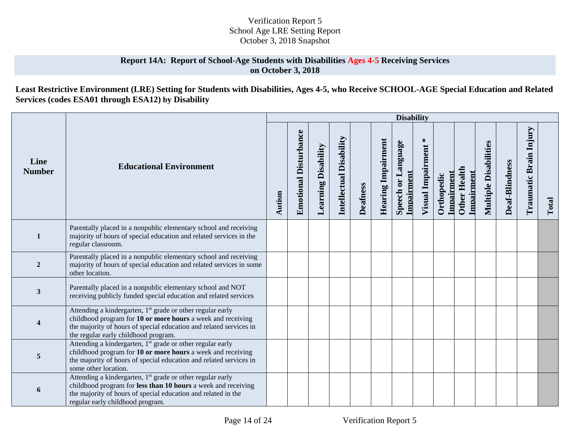### **Report 14A: Report of School-Age Students with Disabilities Ages 4-5 Receiving Services on October 3, 2018**

## **Least Restrictive Environment (LRE) Setting for Students with Disabilities, Ages 4-5, who Receive SCHOOL-AGE Special Education and Related Services (codes ESA01 through ESA12) by Disability**

|                       |                                                                                                                                                                                                                                                     |        |                              |                            |                         |                 |                           | <b>Disability</b>                   |                        |                          |                                   |                              |                |                        |       |
|-----------------------|-----------------------------------------------------------------------------------------------------------------------------------------------------------------------------------------------------------------------------------------------------|--------|------------------------------|----------------------------|-------------------------|-----------------|---------------------------|-------------------------------------|------------------------|--------------------------|-----------------------------------|------------------------------|----------------|------------------------|-------|
| Line<br><b>Number</b> | <b>Educational Environment</b>                                                                                                                                                                                                                      | Autism | <b>Emotional Disturbance</b> | <b>Learning Disability</b> | Intellectual Disability | <b>Deafness</b> | <b>Hearing Impairment</b> | Language<br>Impairment<br>Speech or | ∗<br>Visual Impairment | Impairment<br>Orthopedic | <b>Other Health</b><br>Impairment | <b>Multiple Disabilities</b> | Deaf-Blindness | Traumatic Brain Injury | Total |
| $\mathbf{1}$          | Parentally placed in a nonpublic elementary school and receiving<br>majority of hours of special education and related services in the<br>regular classroom.                                                                                        |        |                              |                            |                         |                 |                           |                                     |                        |                          |                                   |                              |                |                        |       |
| $\overline{2}$        | Parentally placed in a nonpublic elementary school and receiving<br>majority of hours of special education and related services in some<br>other location.                                                                                          |        |                              |                            |                         |                 |                           |                                     |                        |                          |                                   |                              |                |                        |       |
| 3                     | Parentally placed in a nonpublic elementary school and NOT<br>receiving publicly funded special education and related services                                                                                                                      |        |                              |                            |                         |                 |                           |                                     |                        |                          |                                   |                              |                |                        |       |
|                       | Attending a kindergarten, 1 <sup>st</sup> grade or other regular early<br>childhood program for 10 or more hours a week and receiving<br>the majority of hours of special education and related services in<br>the regular early childhood program. |        |                              |                            |                         |                 |                           |                                     |                        |                          |                                   |                              |                |                        |       |
| 5                     | Attending a kindergarten, 1 <sup>st</sup> grade or other regular early<br>childhood program for 10 or more hours a week and receiving<br>the majority of hours of special education and related services in<br>some other location.                 |        |                              |                            |                         |                 |                           |                                     |                        |                          |                                   |                              |                |                        |       |
| 6                     | Attending a kindergarten, 1 <sup>st</sup> grade or other regular early<br>childhood program for less than 10 hours a week and receiving<br>the majority of hours of special education and related in the<br>regular early childhood program.        |        |                              |                            |                         |                 |                           |                                     |                        |                          |                                   |                              |                |                        |       |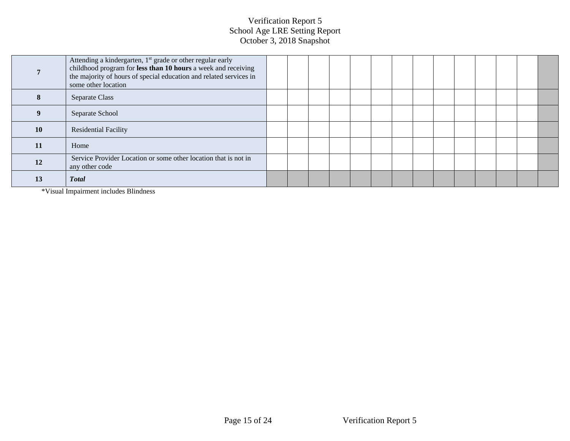|           | Attending a kindergarten, 1 <sup>st</sup> grade or other regular early<br>childhood program for less than 10 hours a week and receiving<br>the majority of hours of special education and related services in<br>some other location |  |  |  |  |  |  |  |
|-----------|--------------------------------------------------------------------------------------------------------------------------------------------------------------------------------------------------------------------------------------|--|--|--|--|--|--|--|
| 8         | Separate Class                                                                                                                                                                                                                       |  |  |  |  |  |  |  |
|           | Separate School                                                                                                                                                                                                                      |  |  |  |  |  |  |  |
| <b>10</b> | <b>Residential Facility</b>                                                                                                                                                                                                          |  |  |  |  |  |  |  |
| 11        | Home                                                                                                                                                                                                                                 |  |  |  |  |  |  |  |
| <b>12</b> | Service Provider Location or some other location that is not in<br>any other code                                                                                                                                                    |  |  |  |  |  |  |  |
| 13        | <b>Total</b>                                                                                                                                                                                                                         |  |  |  |  |  |  |  |

\*Visual Impairment includes Blindness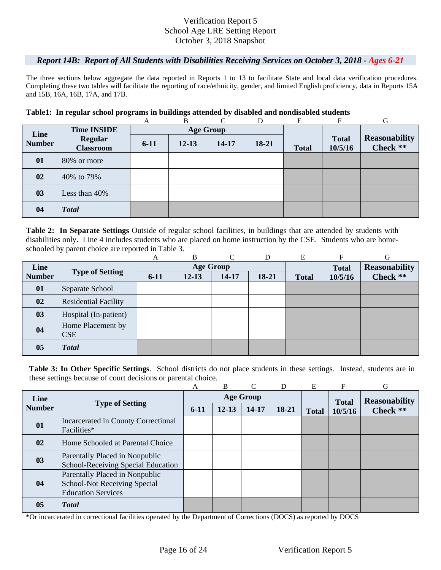#### *Report 14B: Report of All Students with Disabilities Receiving Services on October 3, 2018 - Ages 6-21*

The three sections below aggregate the data reported in Reports 1 to 13 to facilitate State and local data verification procedures. Completing these two tables will facilitate the reporting of race/ethnicity, gender, and limited English proficiency, data in Reports 15A and 15B, 16A, 16B, 17A, and 17B.

#### **Table1: In regular school programs in buildings attended by disabled and nondisabled students**

|               |                                    | A        | B         |                  |         | E            | F                       | G                                |
|---------------|------------------------------------|----------|-----------|------------------|---------|--------------|-------------------------|----------------------------------|
| Line          | <b>Time INSIDE</b>                 |          |           | <b>Age Group</b> |         |              |                         |                                  |
| <b>Number</b> | <b>Regular</b><br><b>Classroom</b> | $6 - 11$ | $12 - 13$ | 14-17            | $18-21$ | <b>Total</b> | <b>Total</b><br>10/5/16 | <b>Reasonability</b><br>Check ** |
| 01            | 80% or more                        |          |           |                  |         |              |                         |                                  |
| 02            | 40% to 79%                         |          |           |                  |         |              |                         |                                  |
| 03            | Less than 40%                      |          |           |                  |         |              |                         |                                  |
| 04            | <b>Total</b>                       |          |           |                  |         |              |                         |                                  |

schooled by parent choice are reported in Table 3.<br>
A B C D E F G **Table 2: In Separate Settings** Outside of regular school facilities, in buildings that are attended by students with disabilities only. Line 4 includes students who are placed on home instruction by the CSE. Students who are home-

|               |                                 | А        | В         | C                | D     | Е            |              | G                    |
|---------------|---------------------------------|----------|-----------|------------------|-------|--------------|--------------|----------------------|
| Line          |                                 |          |           | <b>Age Group</b> |       |              | <b>Total</b> | <b>Reasonability</b> |
| <b>Number</b> | <b>Type of Setting</b>          | $6 - 11$ | $12 - 13$ | 14-17            | 18-21 | <b>Total</b> | 10/5/16      | Check **             |
| 01            | Separate School                 |          |           |                  |       |              |              |                      |
| 02            | <b>Residential Facility</b>     |          |           |                  |       |              |              |                      |
| 03            | Hospital (In-patient)           |          |           |                  |       |              |              |                      |
| 04            | Home Placement by<br><b>CSE</b> |          |           |                  |       |              |              |                      |
| 05            | <b>Total</b>                    |          |           |                  |       |              |              |                      |

**Table 3: In Other Specific Settings**. School districts do not place students in these settings. Instead, students are in these settings because of court decisions or parental choice.

|               |                                                                                                    | A      | B         | $\mathcal{C}$    | D     | E            |              | G                    |
|---------------|----------------------------------------------------------------------------------------------------|--------|-----------|------------------|-------|--------------|--------------|----------------------|
| Line          |                                                                                                    |        |           | <b>Age Group</b> |       |              | <b>Total</b> | <b>Reasonability</b> |
| <b>Number</b> | <b>Type of Setting</b>                                                                             | $6-11$ | $12 - 13$ | 14-17            | 18-21 | <b>Total</b> | 10/5/16      | Check **             |
| 01            | Incarcerated in County Correctional<br>Facilities*                                                 |        |           |                  |       |              |              |                      |
| 02            | Home Schooled at Parental Choice                                                                   |        |           |                  |       |              |              |                      |
| 03            | Parentally Placed in Nonpublic<br>School-Receiving Special Education                               |        |           |                  |       |              |              |                      |
| 04            | Parentally Placed in Nonpublic<br><b>School-Not Receiving Special</b><br><b>Education Services</b> |        |           |                  |       |              |              |                      |
| 05            | <b>Total</b>                                                                                       |        |           |                  |       |              |              |                      |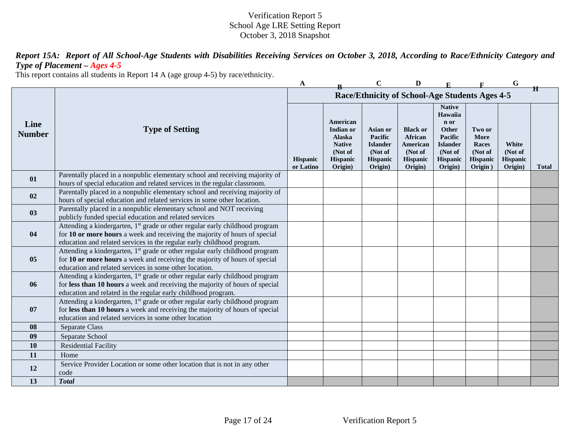*Report 15A: Report of All School-Age Students with Disabilities Receiving Services on October 3, 2018, According to Race/Ethnicity Category and Type of Placement – Ages 4-5* 

This report contains all students in Report 14 A (age group 4-5) by race/ethnicity.

|                       |                                                                                                                                                                                                                                                  | A                     |                                                                                    | $\mathbf C$                                                              | D                                                                               |                                                                                                                  |                                                           | G                                              |              |
|-----------------------|--------------------------------------------------------------------------------------------------------------------------------------------------------------------------------------------------------------------------------------------------|-----------------------|------------------------------------------------------------------------------------|--------------------------------------------------------------------------|---------------------------------------------------------------------------------|------------------------------------------------------------------------------------------------------------------|-----------------------------------------------------------|------------------------------------------------|--------------|
|                       |                                                                                                                                                                                                                                                  |                       |                                                                                    |                                                                          | Race/Ethnicity of School-Age Students Ages 4-5                                  |                                                                                                                  |                                                           |                                                | Ħ            |
| Line<br><b>Number</b> | <b>Type of Setting</b>                                                                                                                                                                                                                           | Hispanic<br>or Latino | American<br>Indian or<br>Alaska<br><b>Native</b><br>(Not of<br>Hispanic<br>Origin) | Asian or<br>Pacific<br><b>Islander</b><br>(Not of<br>Hispanic<br>Origin) | <b>Black or</b><br>African<br>American<br>(Not of<br><b>Hispanic</b><br>Origin) | <b>Native</b><br>Hawaiia<br>n or<br>Other<br>Pacific<br><b>Islander</b><br>(Not of<br><b>Hispanic</b><br>Origin) | Two or<br>More<br>Races<br>(Not of<br>Hispanic<br>Origin) | White<br>(Not of<br><b>Hispanic</b><br>Origin) | <b>Total</b> |
| 01                    | Parentally placed in a nonpublic elementary school and receiving majority of<br>hours of special education and related services in the regular classroom.                                                                                        |                       |                                                                                    |                                                                          |                                                                                 |                                                                                                                  |                                                           |                                                |              |
| 02                    | Parentally placed in a nonpublic elementary school and receiving majority of<br>hours of special education and related services in some other location.                                                                                          |                       |                                                                                    |                                                                          |                                                                                 |                                                                                                                  |                                                           |                                                |              |
| 03                    | Parentally placed in a nonpublic elementary school and NOT receiving<br>publicly funded special education and related services                                                                                                                   |                       |                                                                                    |                                                                          |                                                                                 |                                                                                                                  |                                                           |                                                |              |
| 04                    | Attending a kindergarten, 1 <sup>st</sup> grade or other regular early childhood program<br>for 10 or more hours a week and receiving the majority of hours of special<br>education and related services in the regular early childhood program. |                       |                                                                                    |                                                                          |                                                                                 |                                                                                                                  |                                                           |                                                |              |
| 05                    | Attending a kindergarten, 1 <sup>st</sup> grade or other regular early childhood program<br>for 10 or more hours a week and receiving the majority of hours of special<br>education and related services in some other location.                 |                       |                                                                                    |                                                                          |                                                                                 |                                                                                                                  |                                                           |                                                |              |
| 06                    | Attending a kindergarten, 1 <sup>st</sup> grade or other regular early childhood program<br>for less than 10 hours a week and receiving the majority of hours of special<br>education and related in the regular early childhood program.        |                       |                                                                                    |                                                                          |                                                                                 |                                                                                                                  |                                                           |                                                |              |
| 07                    | Attending a kindergarten, 1 <sup>st</sup> grade or other regular early childhood program<br>for less than 10 hours a week and receiving the majority of hours of special<br>education and related services in some other location                |                       |                                                                                    |                                                                          |                                                                                 |                                                                                                                  |                                                           |                                                |              |
| 08                    | Separate Class                                                                                                                                                                                                                                   |                       |                                                                                    |                                                                          |                                                                                 |                                                                                                                  |                                                           |                                                |              |
| 09                    | Separate School                                                                                                                                                                                                                                  |                       |                                                                                    |                                                                          |                                                                                 |                                                                                                                  |                                                           |                                                |              |
| 10                    | <b>Residential Facility</b>                                                                                                                                                                                                                      |                       |                                                                                    |                                                                          |                                                                                 |                                                                                                                  |                                                           |                                                |              |
| 11                    | Home                                                                                                                                                                                                                                             |                       |                                                                                    |                                                                          |                                                                                 |                                                                                                                  |                                                           |                                                |              |
| 12                    | Service Provider Location or some other location that is not in any other<br>code                                                                                                                                                                |                       |                                                                                    |                                                                          |                                                                                 |                                                                                                                  |                                                           |                                                |              |
| 13                    | <b>Total</b>                                                                                                                                                                                                                                     |                       |                                                                                    |                                                                          |                                                                                 |                                                                                                                  |                                                           |                                                |              |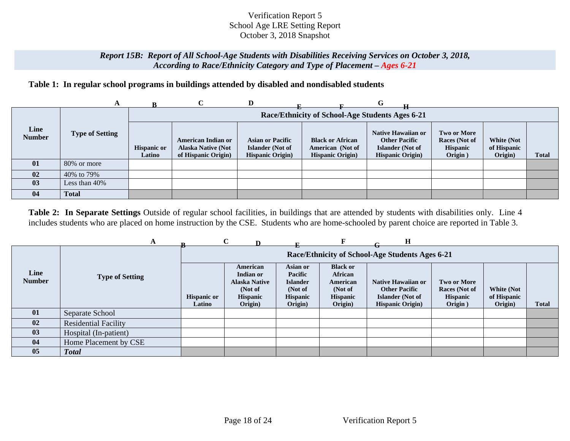### *Report 15B: Report of All School-Age Students with Disabilities Receiving Services on October 3, 2018, According to Race/Ethnicity Category and Type of Placement – Ages 6-21*

# **Table 1: In regular school programs in buildings attended by disabled and nondisabled students**

|                       | A                      |                              |                                                                        | D                                                                       |                                                                         | G                                                                                                 |                                                                   |                                      |              |
|-----------------------|------------------------|------------------------------|------------------------------------------------------------------------|-------------------------------------------------------------------------|-------------------------------------------------------------------------|---------------------------------------------------------------------------------------------------|-------------------------------------------------------------------|--------------------------------------|--------------|
|                       |                        |                              |                                                                        |                                                                         | Race/Ethnicity of School-Age Students Ages 6-21                         |                                                                                                   |                                                                   |                                      |              |
| Line<br><b>Number</b> | <b>Type of Setting</b> | <b>Hispanic or</b><br>Latino | American Indian or<br><b>Alaska Native (Not</b><br>of Hispanic Origin) | <b>Asian or Pacific</b><br>Islander (Not of<br><b>Hispanic Origin</b> ) | <b>Black or African</b><br>American (Not of<br><b>Hispanic Origin</b> ) | Native Hawaiian or<br><b>Other Pacific</b><br><b>Islander</b> (Not of<br><b>Hispanic Origin</b> ) | <b>Two or More</b><br>Races (Not of<br><b>Hispanic</b><br>Origin) | White (Not<br>of Hispanic<br>Origin) | <b>Total</b> |
| 01                    | 80% or more            |                              |                                                                        |                                                                         |                                                                         |                                                                                                   |                                                                   |                                      |              |
| 02                    | 40\% to 79\%           |                              |                                                                        |                                                                         |                                                                         |                                                                                                   |                                                                   |                                      |              |
| 03                    | Less than $40\%$       |                              |                                                                        |                                                                         |                                                                         |                                                                                                   |                                                                   |                                      |              |
| 04                    | <b>Total</b>           |                              |                                                                        |                                                                         |                                                                         |                                                                                                   |                                                                   |                                      |              |

**Table 2: In Separate Settings** Outside of regular school facilities, in buildings that are attended by students with disabilities only. Line 4 includes students who are placed on home instruction by the CSE. Students who are home-schooled by parent choice are reported in Table 3.

|                       |                             |                              | $\mathbf C$                                                                     |                                                                                 |                                                                                        | н                                                                                                 |                                                                   |                                             |       |
|-----------------------|-----------------------------|------------------------------|---------------------------------------------------------------------------------|---------------------------------------------------------------------------------|----------------------------------------------------------------------------------------|---------------------------------------------------------------------------------------------------|-------------------------------------------------------------------|---------------------------------------------|-------|
|                       |                             |                              |                                                                                 |                                                                                 |                                                                                        | Race/Ethnicity of School-Age Students Ages 6-21                                                   |                                                                   |                                             |       |
| Line<br><b>Number</b> | <b>Type of Setting</b>      | <b>Hispanic or</b><br>Latino | American<br>Indian or<br><b>Alaska Native</b><br>(Not of<br>Hispanic<br>Origin) | Asian or<br><b>Pacific</b><br><b>Islander</b><br>(Not of<br>Hispanic<br>Origin) | <b>Black or</b><br><b>African</b><br>American<br>(Not of<br><b>Hispanic</b><br>Origin) | Native Hawaiian or<br><b>Other Pacific</b><br><b>Islander</b> (Not of<br><b>Hispanic Origin</b> ) | <b>Two or More</b><br>Races (Not of<br><b>Hispanic</b><br>Origin) | <b>White (Not</b><br>of Hispanic<br>Origin) | Total |
| 01                    | Separate School             |                              |                                                                                 |                                                                                 |                                                                                        |                                                                                                   |                                                                   |                                             |       |
| 02                    | <b>Residential Facility</b> |                              |                                                                                 |                                                                                 |                                                                                        |                                                                                                   |                                                                   |                                             |       |
| 03                    | Hospital (In-patient)       |                              |                                                                                 |                                                                                 |                                                                                        |                                                                                                   |                                                                   |                                             |       |
| 04                    | Home Placement by CSE       |                              |                                                                                 |                                                                                 |                                                                                        |                                                                                                   |                                                                   |                                             |       |
| 05                    | <b>Total</b>                |                              |                                                                                 |                                                                                 |                                                                                        |                                                                                                   |                                                                   |                                             |       |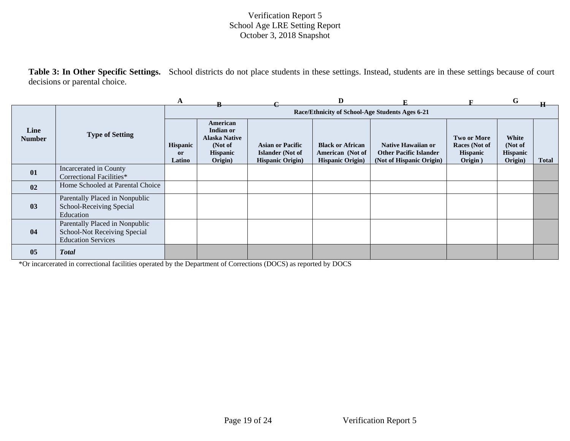**Table 3: In Other Specific Settings.** School districts do not place students in these settings. Instead, students are in these settings because of court decisions or parental choice.

|                       |                                                                                             | A                                          |                                                                                        |                                                                                | D                                                                       |                                                                                 |                                                                   | G                                              |              |
|-----------------------|---------------------------------------------------------------------------------------------|--------------------------------------------|----------------------------------------------------------------------------------------|--------------------------------------------------------------------------------|-------------------------------------------------------------------------|---------------------------------------------------------------------------------|-------------------------------------------------------------------|------------------------------------------------|--------------|
|                       |                                                                                             |                                            |                                                                                        |                                                                                |                                                                         | Race/Ethnicity of School-Age Students Ages 6-21                                 |                                                                   |                                                |              |
| Line<br><b>Number</b> | <b>Type of Setting</b>                                                                      | <b>Hispanic</b><br><sub>or</sub><br>Latino | American<br>Indian or<br><b>Alaska Native</b><br>(Not of<br><b>Hispanic</b><br>Origin) | <b>Asian or Pacific</b><br><b>Islander</b> (Not of<br><b>Hispanic Origin</b> ) | <b>Black or African</b><br>American (Not of<br><b>Hispanic Origin</b> ) | Native Hawaiian or<br><b>Other Pacific Islander</b><br>(Not of Hispanic Origin) | <b>Two or More</b><br>Races (Not of<br><b>Hispanic</b><br>Origin) | White<br>(Not of<br><b>Hispanic</b><br>Origin) | <b>Total</b> |
| 01                    | Incarcerated in County<br>Correctional Facilities*                                          |                                            |                                                                                        |                                                                                |                                                                         |                                                                                 |                                                                   |                                                |              |
| 02                    | Home Schooled at Parental Choice                                                            |                                            |                                                                                        |                                                                                |                                                                         |                                                                                 |                                                                   |                                                |              |
| 03                    | Parentally Placed in Nonpublic<br>School-Receiving Special<br>Education                     |                                            |                                                                                        |                                                                                |                                                                         |                                                                                 |                                                                   |                                                |              |
| 04                    | Parentally Placed in Nonpublic<br>School-Not Receiving Special<br><b>Education Services</b> |                                            |                                                                                        |                                                                                |                                                                         |                                                                                 |                                                                   |                                                |              |
| 05                    | <b>Total</b>                                                                                |                                            |                                                                                        |                                                                                |                                                                         |                                                                                 |                                                                   |                                                |              |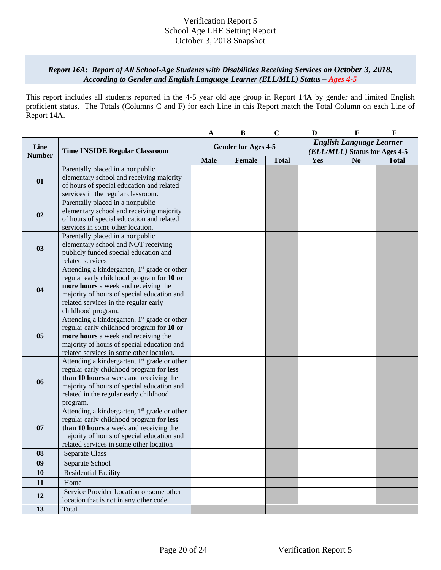### *Report 16A: Report of All School-Age Students with Disabilities Receiving Services on October 3, 2018, According to Gender and English Language Learner (ELL/MLL) Status – Ages 4-5*

This report includes all students reported in the 4-5 year old age group in Report 14A by gender and limited English proficient status. The Totals (Columns C and F) for each Line in this Report match the Total Column on each Line of Report 14A.

|                       |                                                                                    | A                          | $\bf{B}$ | $\mathbf C$  | D                               | $\bf{E}$       | $\mathbf{F}$ |
|-----------------------|------------------------------------------------------------------------------------|----------------------------|----------|--------------|---------------------------------|----------------|--------------|
|                       | <b>Time INSIDE Regular Classroom</b>                                               |                            |          |              | <b>English Language Learner</b> |                |              |
| Line<br><b>Number</b> |                                                                                    | <b>Gender for Ages 4-5</b> |          |              | (ELL/MLL) Status for Ages 4-5   |                |              |
|                       |                                                                                    | <b>Male</b>                | Female   | <b>Total</b> | Yes                             | N <sub>0</sub> | <b>Total</b> |
|                       | Parentally placed in a nonpublic                                                   |                            |          |              |                                 |                |              |
| 01                    | elementary school and receiving majority                                           |                            |          |              |                                 |                |              |
|                       | of hours of special education and related                                          |                            |          |              |                                 |                |              |
|                       | services in the regular classroom.                                                 |                            |          |              |                                 |                |              |
|                       | Parentally placed in a nonpublic                                                   |                            |          |              |                                 |                |              |
| 02                    | elementary school and receiving majority                                           |                            |          |              |                                 |                |              |
|                       | of hours of special education and related                                          |                            |          |              |                                 |                |              |
|                       | services in some other location.                                                   |                            |          |              |                                 |                |              |
|                       | Parentally placed in a nonpublic                                                   |                            |          |              |                                 |                |              |
| 03                    | elementary school and NOT receiving                                                |                            |          |              |                                 |                |              |
|                       | publicly funded special education and                                              |                            |          |              |                                 |                |              |
|                       | related services                                                                   |                            |          |              |                                 |                |              |
|                       | Attending a kindergarten, 1 <sup>st</sup> grade or other                           |                            |          |              |                                 |                |              |
|                       | regular early childhood program for 10 or                                          |                            |          |              |                                 |                |              |
| 04                    | more hours a week and receiving the<br>majority of hours of special education and  |                            |          |              |                                 |                |              |
|                       |                                                                                    |                            |          |              |                                 |                |              |
|                       | related services in the regular early<br>childhood program.                        |                            |          |              |                                 |                |              |
|                       | Attending a kindergarten, 1 <sup>st</sup> grade or other                           |                            |          |              |                                 |                |              |
|                       | regular early childhood program for 10 or                                          |                            |          |              |                                 |                |              |
| 05                    | more hours a week and receiving the                                                |                            |          |              |                                 |                |              |
|                       | majority of hours of special education and                                         |                            |          |              |                                 |                |              |
|                       | related services in some other location.                                           |                            |          |              |                                 |                |              |
|                       | Attending a kindergarten, 1 <sup>st</sup> grade or other                           |                            |          |              |                                 |                |              |
|                       | regular early childhood program for less                                           |                            |          |              |                                 |                |              |
| 06                    | than 10 hours a week and receiving the                                             |                            |          |              |                                 |                |              |
|                       | majority of hours of special education and                                         |                            |          |              |                                 |                |              |
|                       | related in the regular early childhood                                             |                            |          |              |                                 |                |              |
|                       | program.                                                                           |                            |          |              |                                 |                |              |
|                       | Attending a kindergarten, 1 <sup>st</sup> grade or other                           |                            |          |              |                                 |                |              |
| 07                    | regular early childhood program for less<br>than 10 hours a week and receiving the |                            |          |              |                                 |                |              |
|                       | majority of hours of special education and                                         |                            |          |              |                                 |                |              |
|                       | related services in some other location                                            |                            |          |              |                                 |                |              |
| 08                    | Separate Class                                                                     |                            |          |              |                                 |                |              |
| 09                    | Separate School                                                                    |                            |          |              |                                 |                |              |
| 10                    | <b>Residential Facility</b>                                                        |                            |          |              |                                 |                |              |
| 11                    | Home                                                                               |                            |          |              |                                 |                |              |
|                       | Service Provider Location or some other                                            |                            |          |              |                                 |                |              |
| 12                    | location that is not in any other code                                             |                            |          |              |                                 |                |              |
| 13                    | Total                                                                              |                            |          |              |                                 |                |              |
|                       |                                                                                    |                            |          |              |                                 |                |              |